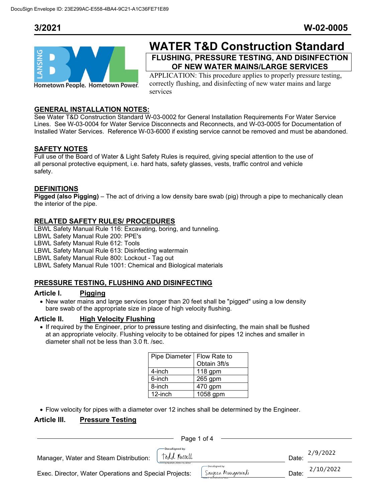

# **WATER T&D Construction Standard FLUSHING, PRESSURE TESTING, AND DISINFECTION**

**OF NEW WATER MAINS/LARGE SERVICES** 

APPLICATION: This procedure applies to properly pressure testing, correctly flushing, and disinfecting of new water mains and large services

### **GENERAL INSTALLATION NOTES:**

See Water T&D Construction Standard W-03-0002 for General Installation Requirements For Water Service Lines. See W-03-0004 for Water Service Disconnects and Reconnects, and W-03-0005 for Documentation of Installed Water Services. Reference W-03-6000 if existing service cannot be removed and must be abandoned.

### **SAFETY NOTES**

Full use of the Board of Water & Light Safety Rules is required, giving special attention to the use of all personal protective equipment, i.e. hard hats, safety glasses, vests, traffic control and vehicle safety.

### **DEFINITIONS**

**Pigged (also Pigging)** – The act of driving a low density bare swab (pig) through a pipe to mechanically clean the interior of the pipe.

### **RELATED SAFETY RULES/ PROCEDURES**

LBWL Safety Manual Rule 116: Excavating, boring, and tunneling.

LBWL Safety Manual Rule 200: PPE's

LBWL Safety Manual Rule 612: Tools

LBWL Safety Manual Rule 613: Disinfecting watermain

LBWL Safety Manual Rule 800: Lockout - Tag out

LBWL Safety Manual Rule 1001: Chemical and Biological materials

### **PRESSURE TESTING, FLUSHING AND DISINFECTING**

### **Article I. Pigging**

• New water mains and large services longer than 20 feet shall be "pigged" using a low density bare swab of the appropriate size in place of high velocity flushing.

### **Article II. High Velocity Flushing**

• If required by the Engineer, prior to pressure testing and disinfecting, the main shall be flushed at an appropriate velocity. Flushing velocity to be obtained for pipes 12 inches and smaller in diameter shall not be less than 3.0 ft. /sec.

| Pipe Diameter   Flow Rate to |              |
|------------------------------|--------------|
|                              | Obtain 3ft/s |
| 4-inch                       | 118 gpm      |
| 6-inch                       | 265 gpm      |
| 8-inch                       | 470 gpm      |
| 12-inch                      | 1058 gpm     |

• Flow velocity for pipes with a diameter over 12 inches shall be determined by the Engineer.

### **Article III. Pressure Testing**

| Page 1 of 4                                                                |                                     |       |           |  |
|----------------------------------------------------------------------------|-------------------------------------|-------|-----------|--|
| DocuSigned by:<br>Todd Russell<br>Manager, Water and Steam Distribution:   |                                     | Date: | 2/9/2022  |  |
| 3ADA8CA6678D459.<br>Exec. Director, Water Operations and Special Projects: | DocuSigned by:<br>Sanker Mungarwadi | Date: | 2/10/2022 |  |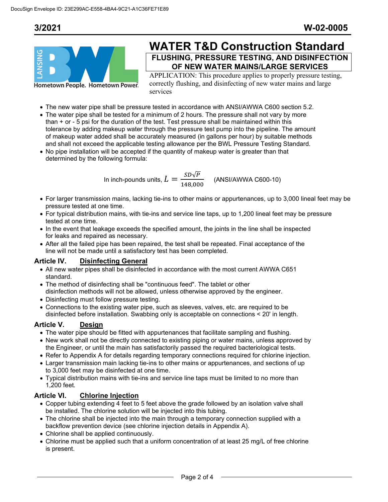

## **WATER T&D Construction Standard FLUSHING, PRESSURE TESTING, AND DISINFECTION OF NEW WATER MAINS/LARGE SERVICES**

APPLICATION: This procedure applies to properly pressure testing, correctly flushing, and disinfecting of new water mains and large services

- The new water pipe shall be pressure tested in accordance with ANSI/AWWA C600 section 5.2.
- The water pipe shall be tested for a minimum of 2 hours. The pressure shall not vary by more than + or - 5 psi for the duration of the test. Test pressure shall be maintained within this tolerance by adding makeup water through the pressure test pump into the pipeline. The amount of makeup water added shall be accurately measured (in gallons per hour) by suitable methods and shall not exceed the applicable testing allowance per the BWL Pressure Testing Standard.
- No pipe installation will be accepted if the quantity of makeup water is greater than that determined by the following formula:

In inch-pounds units,  $L = \frac{SD\sqrt{P}}{148,000}$  (ANSI/AWWA C600-10)

- For larger transmission mains, lacking tie-ins to other mains or appurtenances, up to 3,000 lineal feet may be pressure tested at one time.
- For typical distribution mains, with tie-ins and service line taps, up to 1,200 lineal feet may be pressure tested at one time.
- In the event that leakage exceeds the specified amount, the joints in the line shall be inspected for leaks and repaired as necessary.
- After all the failed pipe has been repaired, the test shall be repeated. Final acceptance of the line will not be made until a satisfactory test has been completed.

### **Article IV. Disinfecting General**

- All new water pipes shall be disinfected in accordance with the most current AWWA C651 standard.
- The method of disinfecting shall be "continuous feed". The tablet or other disinfection methods will not be allowed, unless otherwise approved by the engineer.
- Disinfecting must follow pressure testing.
- Connections to the existing water pipe, such as sleeves, valves, etc. are required to be disinfected before installation. Swabbing only is acceptable on connections < 20' in length.

### **Article V. Design**

- The water pipe should be fitted with appurtenances that facilitate sampling and flushing.
- New work shall not be directly connected to existing piping or water mains, unless approved by the Engineer, or until the main has satisfactorily passed the required bacteriological tests.
- Refer to Appendix A for details regarding temporary connections required for chlorine injection.
- Larger transmission main lacking tie-ins to other mains or appurtenances, and sections of up to 3,000 feet may be disinfected at one time.
- Typical distribution mains with tie-ins and service line taps must be limited to no more than 1,200 feet.

### **Article VI. Chlorine Injection**

- Copper tubing extending 4 feet to 5 feet above the grade followed by an isolation valve shall be installed. The chlorine solution will be injected into this tubing.
- The chlorine shall be injected into the main through a temporary connection supplied with a backflow prevention device (see chlorine injection details in Appendix A).
- Chlorine shall be applied continuously.
- Chlorine must be applied such that a uniform concentration of at least 25 mg/L of free chlorine is present.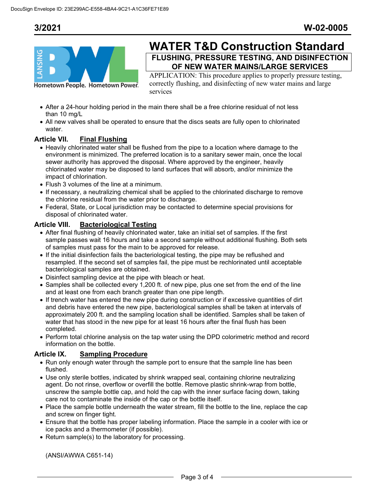

## **WATER T&D Construction Standard FLUSHING, PRESSURE TESTING, AND DISINFECTION**

**OF NEW WATER MAINS/LARGE SERVICES**  APPLICATION: This procedure applies to properly pressure testing, correctly flushing, and disinfecting of new water mains and large

services

- After a 24-hour holding period in the main there shall be a free chlorine residual of not less than 10 mg/L
- All new valves shall be operated to ensure that the discs seats are fully open to chlorinated water.

### **Article VII. Final Flushing**

- Heavily chlorinated water shall be flushed from the pipe to a location where damage to the environment is minimized. The preferred location is to a sanitary sewer main, once the local sewer authority has approved the disposal. Where approved by the engineer, heavily chlorinated water may be disposed to land surfaces that will absorb, and/or minimize the impact of chlorination.
- Flush 3 volumes of the line at a minimum.
- If necessary, a neutralizing chemical shall be applied to the chlorinated discharge to remove the chlorine residual from the water prior to discharge.
- Federal, State, or Local jurisdiction may be contacted to determine special provisions for disposal of chlorinated water.

### **Article VIII. Bacteriological Testing**

- After final flushing of heavily chlorinated water, take an initial set of samples. If the first sample passes wait 16 hours and take a second sample without additional flushing. Both sets of samples must pass for the main to be approved for release.
- If the initial disinfection fails the bacteriological testing, the pipe may be reflushed and resampled. If the second set of samples fail, the pipe must be rechlorinated until acceptable bacteriological samples are obtained.
- Disinfect sampling device at the pipe with bleach or heat.
- Samples shall be collected every 1,200 ft. of new pipe, plus one set from the end of the line and at least one from each branch greater than one pipe length.
- If trench water has entered the new pipe during construction or if excessive quantities of dirt and debris have entered the new pipe, bacteriological samples shall be taken at intervals of approximately 200 ft. and the sampling location shall be identified. Samples shall be taken of water that has stood in the new pipe for at least 16 hours after the final flush has been completed.
- Perform total chlorine analysis on the tap water using the DPD colorimetric method and record information on the bottle.

### **Article IX. Sampling Procedure**

- Run only enough water through the sample port to ensure that the sample line has been flushed.
- Use only sterile bottles, indicated by shrink wrapped seal, containing chlorine neutralizing agent. Do not rinse, overflow or overfill the bottle. Remove plastic shrink-wrap from bottle, unscrew the sample bottle cap, and hold the cap with the inner surface facing down, taking care not to contaminate the inside of the cap or the bottle itself.
- Place the sample bottle underneath the water stream, fill the bottle to the line, replace the cap and screw on finger tight.
- Ensure that the bottle has proper labeling information. Place the sample in a cooler with ice or ice packs and a thermometer (if possible).
- Return sample(s) to the laboratory for processing.

(ANSI/AWWA C651-14)